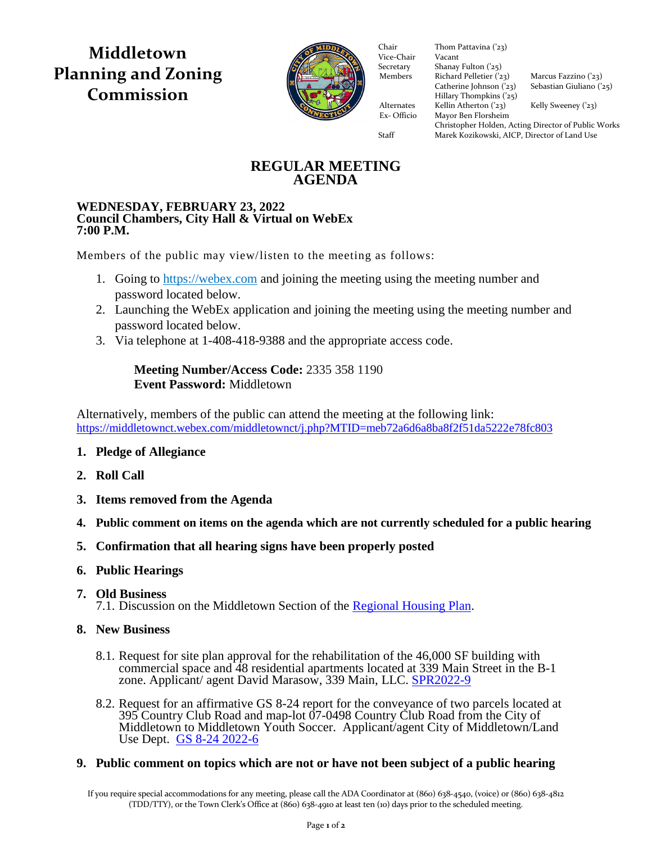**Middletown Planning and Zoning Commission**



Vice-Chair Vacant Secretary Shanay Fulton ('25) Members Richard Pelletier  $(23)$  Marcus Fazzino  $(23)$ Catherine Johnson ('23) Sebastian Giuliano ('25)  $\frac{1}{2}$  Hillary Thompkins ('25) Alternates Kellin Atherton ('23) Kelly Sweeney ('23) Ex- Officio Mayor Ben Florsheim Ex- Officio Mayor Ben Florsheim Chair Thom Pattavina ('23)<br>Vice-Chair Vacant

Christopher Holden, Acting Director of Public Works Staff Marek Kozikowski, AICP, Director of Land Use

## **REGULAR MEETING AGENDA**

#### **WEDNESDAY, FEBRUARY 23, 2022 Council Chambers, City Hall & Virtual on WebEx 7:00 P.M.**

Members of the public may view/listen to the meeting as follows:

- 1. Going to [https://webex.com](https://webex.com/) and joining the meeting using the meeting number and password located below.
- 2. Launching the WebEx application and joining the meeting using the meeting number and password located below.
- 3. Via telephone at 1-408-418-9388 and the appropriate access code.

## **Meeting Number/Access Code:** 2335 358 1190 **Event Password:** Middletown

Alternatively, members of the public can attend the meeting at the following link: <https://middletownct.webex.com/middletownct/j.php?MTID=meb72a6d6a8ba8f2f51da5222e78fc803>

- **1. Pledge of Allegiance**
- **2. Roll Call**
- **3. Items removed from the Agenda**
- **4. Public comment on items on the agenda which are not currently scheduled for a public hearing**
- **5. Confirmation that all hearing signs have been properly posted**
- **6. Public Hearings**
- **7. Old Business**
	- 7.1. Discussion on the Middletown Section of the [Regional Housing Plan.](https://www.rivercog.org/projects/rhp/)
- **8. New Business**
	- 8.1. Request for site plan approval for the rehabilitation of the 46,000 SF building with commercial space and 48 residential apartments located at 339 Main Street in the B-1 zone. Applicant/ agent David Marasow, 339 Main, LLC. [SPR2022-9](https://middletownct.box.com/s/tq0hvro9ac49v9uxzi5n0lpk14tdbkuq)
	- 8.2. Request for an affirmative GS 8-24 report for the conveyance of two parcels located at 395 Country Club Road and map-lot 07-0498 Country Club Road from the City of Middletown to Middletown Youth Soccer. Applicant/agent City of Middletown/Land Use Dept. [GS 8-24 2022-6](https://middletownct.box.com/s/tbie56ousmhyn7t4hm6ebxgfjsbbjyxj)

#### **9. Public comment on topics which are not or have not been subject of a public hearing**

If you require special accommodations for any meeting, please call the ADA Coordinator at (860) 638-4540, (voice) or (860) 638-4812 (TDD/TTY), or the Town Clerk's Office at (860) 638-4910 at least ten (10) days prior to the scheduled meeting.